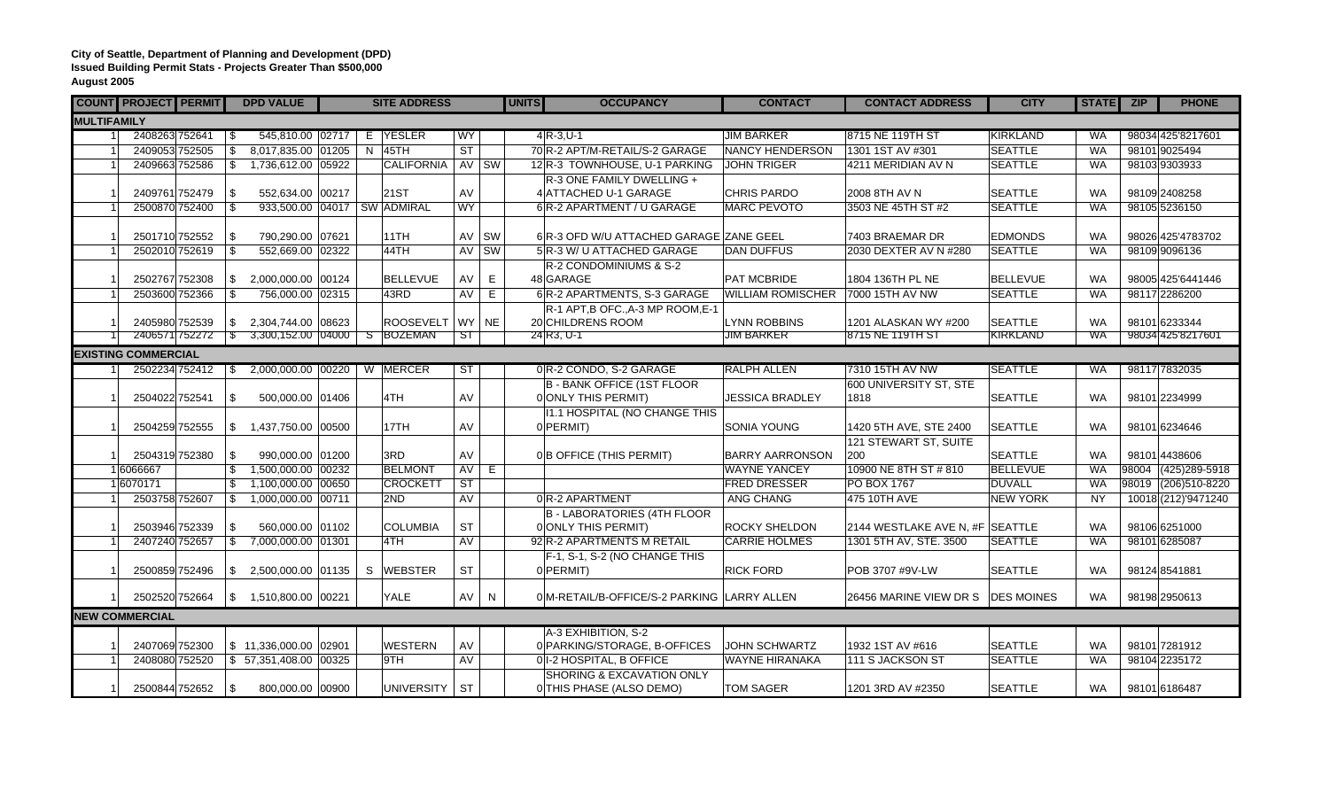## **City of Seattle, Department of Planning and Development (DPD) Issued Building Permit Stats - Projects Greater Than \$500,000 August 2005**

|                       | <b>COUNT PROJECT PERMIT</b> |  |                          | <b>DPD VALUE</b>                  |  |  | <b>SITE ADDRESS</b> |                        |           | <b>UNITS</b> | <b>OCCUPANCY</b>                                          | <b>CONTACT</b>           | <b>CONTACT ADDRESS</b>            | <b>CITY</b>     | STATE ZIP | <b>PHONE</b>         |
|-----------------------|-----------------------------|--|--------------------------|-----------------------------------|--|--|---------------------|------------------------|-----------|--------------|-----------------------------------------------------------|--------------------------|-----------------------------------|-----------------|-----------|----------------------|
| <b>MULTIFAMILY</b>    |                             |  |                          |                                   |  |  |                     |                        |           |              |                                                           |                          |                                   |                 |           |                      |
|                       | 2408263 752641              |  | \$                       | 545,810.00 02717                  |  |  | E YESLER            | WY                     |           |              | $4R - 3, U - 1$                                           | <b>JIM BARKER</b>        | 8715 NE 119TH ST                  | KIRKLAND        | <b>WA</b> | 98034 425 8217601    |
|                       | 2409053 752505              |  | \$                       | 8,017,835.00 01205                |  |  | $N$ 45TH            | <b>ST</b>              |           |              | 70 R-2 APT/M-RETAIL/S-2 GARAGE                            | <b>NANCY HENDERSON</b>   | 1301 1ST AV #301                  | <b>SEATTLE</b>  | <b>WA</b> | 98101 9025494        |
|                       | 2409663 752586              |  | -\$                      | 1,736,612.00 05922                |  |  | <b>CALIFORNIA</b>   |                        | AV SW     |              | 12 R-3 TOWNHOUSE, U-1 PARKING                             | <b>JOHN TRIGER</b>       | 4211 MERIDIAN AV N                | <b>SEATTLE</b>  | <b>WA</b> | 98103 9303933        |
|                       |                             |  |                          |                                   |  |  |                     |                        |           |              | R-3 ONE FAMILY DWELLING +                                 |                          |                                   |                 |           |                      |
|                       | 2409761 752479              |  | \$                       | 552,634.00 00217                  |  |  | <b>21ST</b>         | AV                     |           |              | 4 ATTACHED U-1 GARAGE                                     | <b>CHRIS PARDO</b>       | 2008 8TH AV N                     | <b>SEATTLE</b>  | <b>WA</b> | 98109 2408258        |
|                       | 2500870 752400              |  | $\mathfrak{S}$           | 933,500.00 04017 SW ADMIRAL       |  |  |                     | <b>WY</b>              |           |              | 6 R-2 APARTMENT / U GARAGE                                | <b>MARC PEVOTO</b>       | 3503 NE 45TH ST #2                | <b>SEATTLE</b>  | <b>WA</b> | 98105 5236150        |
|                       |                             |  |                          |                                   |  |  |                     |                        |           |              |                                                           |                          |                                   |                 |           |                      |
|                       | 2501710 752552              |  | -\$                      | 790,290.00 07621                  |  |  | 11TH                |                        | AV SW     |              | 6 R-3 OFD W/U ATTACHED GARAGE ZANE GEEL                   |                          | 7403 BRAEMAR DR                   | <b>EDMONDS</b>  | <b>WA</b> | 98026 425'4783702    |
|                       | 2502010 752619              |  | \$                       | 552,669.00 02322                  |  |  | 44TH                | AV                     | SW        |              | 5 R-3 W/ U ATTACHED GARAGE                                | <b>DAN DUFFUS</b>        | 2030 DEXTER AV N #280             | <b>SEATTLE</b>  | <b>WA</b> | 98109 9096136        |
|                       |                             |  |                          |                                   |  |  |                     |                        |           |              | R-2 CONDOMINIUMS & S-2                                    |                          |                                   |                 |           |                      |
|                       | 2502767 752308              |  | \$                       | 2,000,000.00 00124                |  |  | <b>BELLEVUE</b>     | AV                     | E.        |              | 48 GARAGE                                                 | PAT MCBRIDE              | 1804 136TH PL NE                  | <b>BELLEVUE</b> | <b>WA</b> | 98005 425'6441446    |
|                       | 2503600 752366              |  | \$                       | 756,000.00 02315                  |  |  | 43RD                | AV                     | E         |              | 6 R-2 APARTMENTS, S-3 GARAGE                              | <b>WILLIAM ROMISCHER</b> | 7000 15TH AV NW                   | <b>SEATTLE</b>  | WA        | 98117 2286200        |
|                       |                             |  |                          |                                   |  |  |                     |                        |           |              | R-1 APT, B OFC., A-3 MP ROOM, E-1                         |                          |                                   |                 |           |                      |
|                       | 2405980 752539              |  | \$                       | 2,304,744.00 08623                |  |  | ROOSEVELT WY        |                        | <b>NE</b> |              | 20 CHILDRENS ROOM                                         | <b>LYNN ROBBINS</b>      | 1201 ALASKAN WY #200              | <b>SEATTLE</b>  | <b>WA</b> | 98101 6233344        |
|                       | 2406571 752272              |  | $\overline{\phantom{a}}$ | 3,300,152.00 04000 S BOZEMAN      |  |  |                     | <b>ST</b>              |           |              | 24 R <sub>3</sub> , U-1                                   | <b>JIM BARKER</b>        | 8715 NE 119TH ST                  | KIRKLAND        | WA        | 98034 425 8217601    |
|                       | <b>EXISTING COMMERCIAL</b>  |  |                          |                                   |  |  |                     |                        |           |              |                                                           |                          |                                   |                 |           |                      |
|                       | 2502234 752412              |  | -S                       | 2,000,000.00 00220                |  |  | W MERCER            | $\overline{\text{ST}}$ |           |              | 0 R-2 CONDO, S-2 GARAGE                                   | <b>RALPH ALLEN</b>       | 7310 15TH AV NW                   | <b>SEATTLE</b>  | <b>WA</b> | 98117 7832035        |
|                       |                             |  |                          |                                   |  |  |                     |                        |           |              | <b>B - BANK OFFICE (1ST FLOOR</b>                         |                          | 600 UNIVERSITY ST, STE            |                 |           |                      |
|                       | 2504022 752541              |  | \$                       | 500,000.00 01406                  |  |  | 4TH                 | AV                     |           |              | 0 ONLY THIS PERMIT)                                       | <b>JESSICA BRADLEY</b>   | 1818                              | <b>SEATTLE</b>  | <b>WA</b> | 98101 2234999        |
|                       |                             |  |                          |                                   |  |  |                     |                        |           |              | 11.1 HOSPITAL (NO CHANGE THIS                             |                          |                                   |                 |           |                      |
|                       | 2504259 752555              |  |                          | \$ 1,437,750.00   00500           |  |  | 17TH                | AV                     |           |              | $0$ PERMIT)                                               | SONIA YOUNG              | 1420 5TH AVE, STE 2400            | <b>SEATTLE</b>  | <b>WA</b> | 98101 6234646        |
|                       |                             |  |                          |                                   |  |  |                     |                        |           |              |                                                           |                          | 121 STEWART ST, SUITE             |                 |           |                      |
|                       | 2504319 752380              |  | \$                       | 990,000.00 01200                  |  |  | 3RD                 | AV                     |           |              | 0B OFFICE (THIS PERMIT)                                   | <b>BARRY AARRONSON</b>   | 200                               | <b>SEATTLE</b>  | <b>WA</b> | 98101 4438606        |
|                       | 1 6066667                   |  | \$                       | 1,500,000.00 00232                |  |  | <b>BELMONT</b>      | AV                     | E.        |              |                                                           | <b>WAYNE YANCEY</b>      | 10900 NE 8TH ST # 810             | <b>BELLEVUE</b> | <b>WA</b> | 98004 (425) 289-5918 |
|                       | 16070171                    |  |                          | 1,100,000.00 00650                |  |  | <b>CROCKETT</b>     | $\overline{\text{ST}}$ |           |              |                                                           | <b>FRED DRESSER</b>      | <b>PO BOX 1767</b>                | <b>DUVALL</b>   | WA        | 98019 (206)510-8220  |
|                       | 2503758 752607              |  | \$                       | 1,000,000.00 00711                |  |  | 2ND                 | <b>AV</b>              |           |              | 0R-2 APARTMENT                                            | ANG CHANG                | 475 10TH AVE                      | <b>NEW YORK</b> | <b>NY</b> | 10018 (212) 9471240  |
|                       | 2503946 752339              |  |                          | 560.000.00 01102                  |  |  | <b>COLUMBIA</b>     | <b>ST</b>              |           |              | <b>B - LABORATORIES (4TH FLOOR</b><br>0 ONLY THIS PERMIT) | <b>ROCKY SHELDON</b>     | 2144 WESTLAKE AVE N, #F SEATTLE   |                 | <b>WA</b> | 98106 6251000        |
|                       | 2407240 752657              |  | \$                       | 7,000,000.00 01301                |  |  | 4TH                 | <b>AV</b>              |           |              | 92 R-2 APARTMENTS M RETAIL                                | <b>CARRIE HOLMES</b>     | 1301 5TH AV, STE. 3500            | <b>SEATTLE</b>  | <b>WA</b> | 98101 6285087        |
|                       |                             |  | \$                       |                                   |  |  |                     |                        |           |              |                                                           |                          |                                   |                 |           |                      |
|                       | 2500859 752496              |  | \$                       | 2,500,000.00 01135                |  |  | S WEBSTER           | <b>ST</b>              |           |              | F-1, S-1, S-2 (NO CHANGE THIS<br>0 PERMIT)                | <b>RICK FORD</b>         | POB 3707 #9V-LW                   | <b>SEATTLE</b>  | <b>WA</b> | 98124 8541881        |
|                       |                             |  |                          |                                   |  |  |                     |                        |           |              |                                                           |                          |                                   |                 |           |                      |
|                       | 2502520 752664              |  | \$                       | 1,510,800.00 00221                |  |  | <b>YALE</b>         | AV                     | N         |              | 0 M-RETAIL/B-OFFICE/S-2 PARKING LARRY ALLEN               |                          | 26456 MARINE VIEW DR S DES MOINES |                 | <b>WA</b> | 98198 2950613        |
| <b>NEW COMMERCIAL</b> |                             |  |                          |                                   |  |  |                     |                        |           |              |                                                           |                          |                                   |                 |           |                      |
|                       |                             |  |                          |                                   |  |  |                     |                        |           |              | A-3 EXHIBITION, S-2                                       |                          |                                   |                 |           |                      |
|                       | 2407069 752300              |  |                          | $$11,336,000.00$ 02901            |  |  | <b>WESTERN</b>      | AV                     |           |              | 0 PARKING/STORAGE, B-OFFICES                              | <b>JOHN SCHWARTZ</b>     | 1932 1ST AV #616                  | <b>SEATTLE</b>  | <b>WA</b> | 98101 7281912        |
|                       | 2408080 752520              |  |                          | $\frac{1}{5}$ 57,351,408.00 00325 |  |  | 9TH                 | AV                     |           |              | 0 I-2 HOSPITAL, B OFFICE                                  | <b>WAYNE HIRANAKA</b>    | 111 S JACKSON ST                  | <b>SEATTLE</b>  | WA        | 98104 2235172        |
|                       |                             |  |                          |                                   |  |  |                     |                        |           |              | SHORING & EXCAVATION ONLY                                 |                          |                                   |                 |           |                      |
|                       | 2500844 752652              |  | $\vert$ \$               | 800,000.00 00900                  |  |  | UNIVERSITY   ST     |                        |           |              | 0 THIS PHASE (ALSO DEMO)                                  | <b>TOM SAGER</b>         | 1201 3RD AV #2350                 | <b>SEATTLE</b>  | <b>WA</b> | 98101 6186487        |